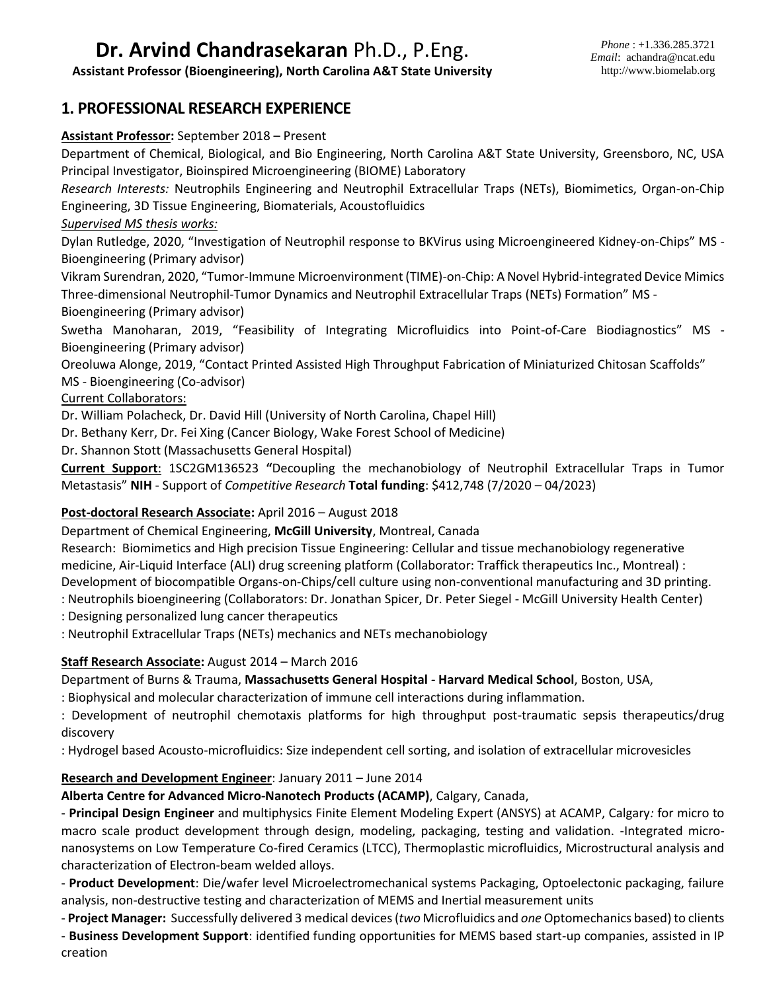# **Dr. Arvind Chandrasekaran** Ph.D., P.Eng.

**Assistant Professor (Bioengineering), North Carolina A&T State University**

# **1. PROFESSIONAL RESEARCH EXPERIENCE**

#### **Assistant Professor:** September 2018 – Present

Department of Chemical, Biological, and Bio Engineering, North Carolina A&T State University, Greensboro, NC, USA Principal Investigator, Bioinspired Microengineering (BIOME) Laboratory

*Research Interests:* Neutrophils Engineering and Neutrophil Extracellular Traps (NETs), Biomimetics, Organ-on-Chip Engineering, 3D Tissue Engineering, Biomaterials, Acoustofluidics

#### *Supervised MS thesis works:*

Dylan Rutledge, 2020, "Investigation of Neutrophil response to BKVirus using Microengineered Kidney-on-Chips" MS - Bioengineering (Primary advisor)

Vikram Surendran, 2020, "Tumor-Immune Microenvironment (TIME)-on-Chip: A Novel Hybrid-integrated Device Mimics Three-dimensional Neutrophil-Tumor Dynamics and Neutrophil Extracellular Traps (NETs) Formation" MS - Bioengineering (Primary advisor)

Swetha Manoharan, 2019, "Feasibility of Integrating Microfluidics into Point-of-Care Biodiagnostics" MS - Bioengineering (Primary advisor)

Oreoluwa Alonge, 2019, "Contact Printed Assisted High Throughput Fabrication of Miniaturized Chitosan Scaffolds" MS - Bioengineering (Co-advisor)

#### Current Collaborators:

Dr. William Polacheck, Dr. David Hill (University of North Carolina, Chapel Hill)

Dr. Bethany Kerr, Dr. Fei Xing (Cancer Biology, Wake Forest School of Medicine)

Dr. Shannon Stott (Massachusetts General Hospital)

**Current Support**: 1SC2GM136523 **"**Decoupling the mechanobiology of Neutrophil Extracellular Traps in Tumor Metastasis" **NIH** - Support of *Competitive Research* **Total funding**: \$412,748 (7/2020 – 04/2023)

#### **Post-doctoral Research Associate:** April 2016 – August 2018

Department of Chemical Engineering, **McGill University**, Montreal, Canada

Research: Biomimetics and High precision Tissue Engineering: Cellular and tissue mechanobiology regenerative medicine, Air-Liquid Interface (ALI) drug screening platform (Collaborator: Traffick therapeutics Inc., Montreal) : Development of biocompatible Organs-on-Chips/cell culture using non-conventional manufacturing and 3D printing.

: Neutrophils bioengineering (Collaborators: Dr. Jonathan Spicer, Dr. Peter Siegel - McGill University Health Center)

: Designing personalized lung cancer therapeutics

: Neutrophil Extracellular Traps (NETs) mechanics and NETs mechanobiology

#### **Staff Research Associate:** August 2014 – March 2016

Department of Burns & Trauma, **Massachusetts General Hospital - Harvard Medical School**, Boston, USA,

: Biophysical and molecular characterization of immune cell interactions during inflammation.

: Development of neutrophil chemotaxis platforms for high throughput post-traumatic sepsis therapeutics/drug discovery

: Hydrogel based Acousto-microfluidics: Size independent cell sorting, and isolation of extracellular microvesicles

#### **Research and Development Engineer**: January 2011 – June 2014

#### **Alberta Centre for Advanced Micro-Nanotech Products (ACAMP)**, Calgary, Canada,

- **Principal Design Engineer** and multiphysics Finite Element Modeling Expert (ANSYS) at ACAMP, Calgary*:* for micro to macro scale product development through design, modeling, packaging, testing and validation. -Integrated micronanosystems on Low Temperature Co-fired Ceramics (LTCC), Thermoplastic microfluidics, Microstructural analysis and characterization of Electron-beam welded alloys.

- **Product Development**: Die/wafer level Microelectromechanical systems Packaging, Optoelectonic packaging, failure analysis, non-destructive testing and characterization of MEMS and Inertial measurement units

- **Project Manager:** Successfully delivered 3 medical devices (*two* Microfluidics and *one* Optomechanics based) to clients

- **Business Development Support**: identified funding opportunities for MEMS based start-up companies, assisted in IP creation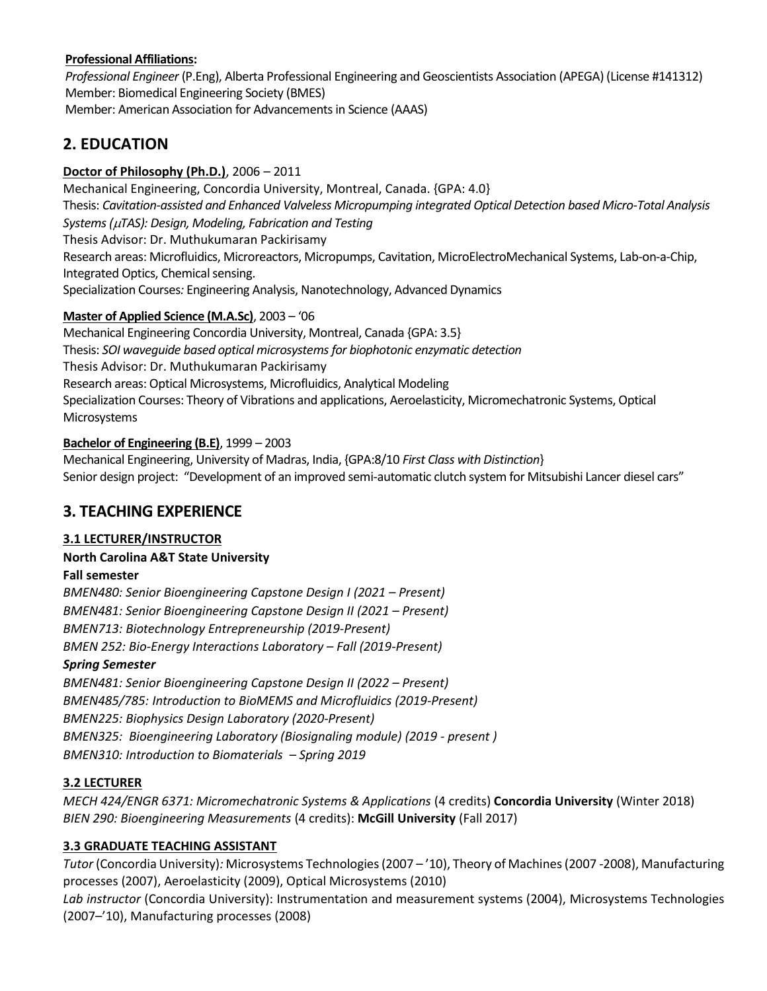### **Professional Affiliations:**

*Professional Engineer* (P.Eng), Alberta Professional Engineering and Geoscientists Association (APEGA) (License #141312) Member: Biomedical Engineering Society (BMES) Member: American Association for Advancements in Science (AAAS)

# **2. EDUCATION**

## **Doctor of Philosophy (Ph.D.)**, 2006 – 2011

Mechanical Engineering, Concordia University, Montreal, Canada. {GPA: 4.0} Thesis: *Cavitation-assisted and Enhanced Valveless Micropumping integrated Optical Detection based Micro-Total Analysis Systems (TAS): Design, Modeling, Fabrication and Testing* Thesis Advisor: Dr. Muthukumaran Packirisamy Research areas: Microfluidics, Microreactors, Micropumps, Cavitation, MicroElectroMechanical Systems, Lab-on-a-Chip, Integrated Optics, Chemical sensing. Specialization Courses*:* Engineering Analysis, Nanotechnology, Advanced Dynamics

### **Master of Applied Science (M.A.Sc)**, 2003 – '06

Mechanical Engineering Concordia University, Montreal, Canada {GPA: 3.5} Thesis: *SOI waveguide based optical microsystems for biophotonic enzymatic detection* Thesis Advisor: Dr. Muthukumaran Packirisamy Research areas: Optical Microsystems, Microfluidics, Analytical Modeling Specialization Courses: Theory of Vibrations and applications, Aeroelasticity, Micromechatronic Systems, Optical Microsystems

### **Bachelor of Engineering (B.E)**, 1999 – 2003

Mechanical Engineering, University of Madras, India, {GPA:8/10 *First Class with Distinction*} Senior design project: "Development of an improved semi-automatic clutch system for Mitsubishi Lancer diesel cars"

# **3. TEACHING EXPERIENCE**

# **3.1 LECTURER/INSTRUCTOR**

#### **North Carolina A&T State University**

#### **Fall semester**

*BMEN480: Senior Bioengineering Capstone Design I (2021 – Present) BMEN481: Senior Bioengineering Capstone Design II (2021 – Present) BMEN713: Biotechnology Entrepreneurship (2019-Present) BMEN 252: Bio-Energy Interactions Laboratory – Fall (2019-Present)*

#### *Spring Semester*

*BMEN481: Senior Bioengineering Capstone Design II (2022 – Present) BMEN485/785: Introduction to BioMEMS and Microfluidics (2019-Present) BMEN225: Biophysics Design Laboratory (2020-Present) BMEN325: Bioengineering Laboratory (Biosignaling module) (2019 - present ) BMEN310: Introduction to Biomaterials – Spring 2019* 

#### **3.2 LECTURER**

*MECH 424/ENGR 6371: Micromechatronic Systems & Applications* (4 credits) **Concordia University** (Winter 2018) *BIEN 290: Bioengineering Measurements* (4 credits): **McGill University** (Fall 2017)

# **3.3 GRADUATE TEACHING ASSISTANT**

*Tutor* (Concordia University)*:* Microsystems Technologies (2007 – '10), Theory of Machines (2007 -2008), Manufacturing processes (2007), Aeroelasticity (2009), Optical Microsystems (2010)

*Lab instructor* (Concordia University): Instrumentation and measurement systems (2004), Microsystems Technologies (2007–'10), Manufacturing processes (2008)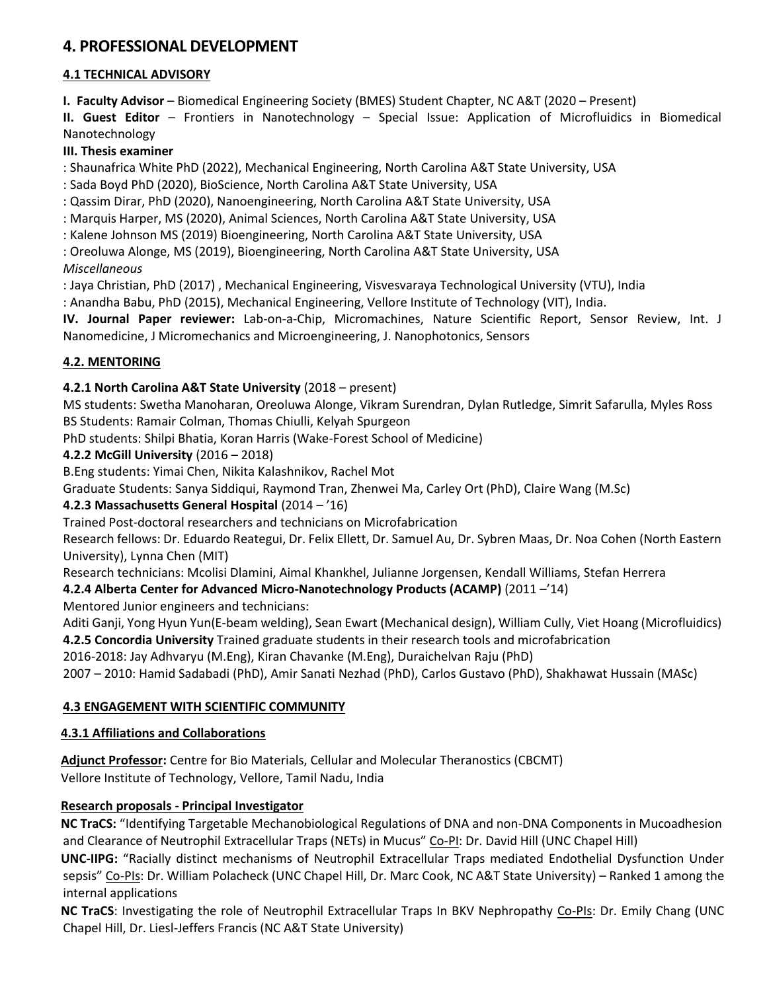# **4. PROFESSIONAL DEVELOPMENT**

### **4.1 TECHNICAL ADVISORY**

**I. Faculty Advisor** – Biomedical Engineering Society (BMES) Student Chapter, NC A&T (2020 – Present)

**II. Guest Editor** – Frontiers in Nanotechnology – Special Issue: Application of Microfluidics in Biomedical Nanotechnology

#### **III. Thesis examiner**

: Shaunafrica White PhD (2022), Mechanical Engineering, North Carolina A&T State University, USA

: Sada Boyd PhD (2020), BioScience, North Carolina A&T State University, USA

: Qassim Dirar, PhD (2020), Nanoengineering, North Carolina A&T State University, USA

: Marquis Harper, MS (2020), Animal Sciences, North Carolina A&T State University, USA

: Kalene Johnson MS (2019) Bioengineering, North Carolina A&T State University, USA

: Oreoluwa Alonge, MS (2019), Bioengineering, North Carolina A&T State University, USA

#### *Miscellaneous*

: Jaya Christian, PhD (2017) , Mechanical Engineering, Visvesvaraya Technological University (VTU), India

: Anandha Babu, PhD (2015), Mechanical Engineering, Vellore Institute of Technology (VIT), India.

**IV. Journal Paper reviewer:** Lab-on-a-Chip, Micromachines, Nature Scientific Report, Sensor Review, Int. J Nanomedicine, J Micromechanics and Microengineering, J. Nanophotonics, Sensors

# **4.2. MENTORING**

#### **4.2.1 North Carolina A&T State University** (2018 – present)

MS students: Swetha Manoharan, Oreoluwa Alonge, Vikram Surendran, Dylan Rutledge, Simrit Safarulla, Myles Ross BS Students: Ramair Colman, Thomas Chiulli, Kelyah Spurgeon

PhD students: Shilpi Bhatia, Koran Harris (Wake-Forest School of Medicine)

#### **4.2.2 McGill University** (2016 – 2018)

B.Eng students: Yimai Chen, Nikita Kalashnikov, Rachel Mot

Graduate Students: Sanya Siddiqui, Raymond Tran, Zhenwei Ma, Carley Ort (PhD), Claire Wang (M.Sc)

# **4.2.3 Massachusetts General Hospital** (2014 – '16)

Trained Post-doctoral researchers and technicians on Microfabrication

Research fellows: Dr. Eduardo Reategui, Dr. Felix Ellett, Dr. Samuel Au, Dr. Sybren Maas, Dr. Noa Cohen (North Eastern University), Lynna Chen (MIT)

Research technicians: Mcolisi Dlamini, Aimal Khankhel, Julianne Jorgensen, Kendall Williams, Stefan Herrera

# **4.2.4 Alberta Center for Advanced Micro-Nanotechnology Products (ACAMP)** (2011 –'14)

Mentored Junior engineers and technicians:

Aditi Ganji, Yong Hyun Yun(E-beam welding), Sean Ewart (Mechanical design), William Cully, Viet Hoang (Microfluidics) **4.2.5 Concordia University** Trained graduate students in their research tools and microfabrication

2016-2018: Jay Adhvaryu (M.Eng), Kiran Chavanke (M.Eng), Duraichelvan Raju (PhD)

2007 – 2010: Hamid Sadabadi (PhD), Amir Sanati Nezhad (PhD), Carlos Gustavo (PhD), Shakhawat Hussain (MASc)

#### **4.3 ENGAGEMENT WITH SCIENTIFIC COMMUNITY**

#### **4.3.1 Affiliations and Collaborations**

**Adjunct Professor:** Centre for Bio Materials, Cellular and Molecular Theranostics (CBCMT) Vellore Institute of Technology, Vellore, Tamil Nadu, India

#### **Research proposals - Principal Investigator**

**NC TraCS:** "Identifying Targetable Mechanobiological Regulations of DNA and non-DNA Components in Mucoadhesion and Clearance of Neutrophil Extracellular Traps (NETs) in Mucus" Co-PI: Dr. David Hill (UNC Chapel Hill)

**UNC-IIPG:** "Racially distinct mechanisms of Neutrophil Extracellular Traps mediated Endothelial Dysfunction Under sepsis" Co-PIs: Dr. William Polacheck (UNC Chapel Hill, Dr. Marc Cook, NC A&T State University) – Ranked 1 among the internal applications

**NC TraCS**: Investigating the role of Neutrophil Extracellular Traps In BKV Nephropathy Co-PIs: Dr. Emily Chang (UNC Chapel Hill, Dr. Liesl-Jeffers Francis (NC A&T State University)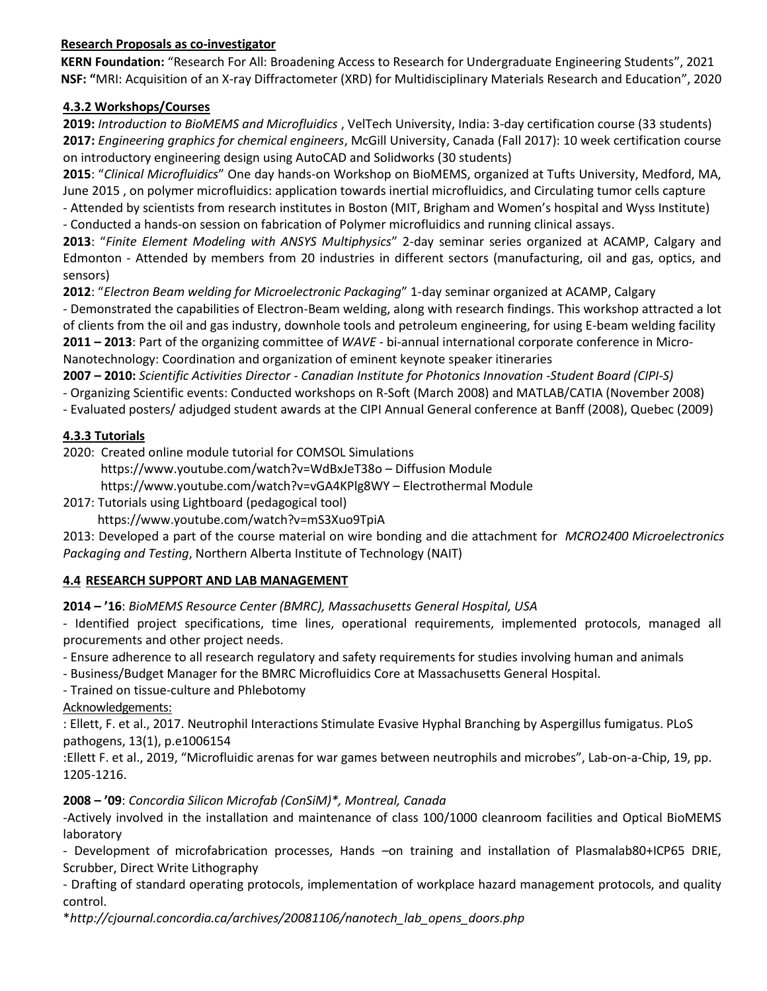#### **Research Proposals as co-investigator**

**KERN Foundation:** "Research For All: Broadening Access to Research for Undergraduate Engineering Students", 2021 **NSF: "**MRI: Acquisition of an X-ray Diffractometer (XRD) for Multidisciplinary Materials Research and Education", 2020

## **4.3.2 Workshops/Courses**

**2019:** *Introduction to BioMEMS and Microfluidics* , VelTech University, India: 3-day certification course (33 students) **2017:** *Engineering graphics for chemical engineers*, McGill University, Canada (Fall 2017): 10 week certification course on introductory engineering design using AutoCAD and Solidworks (30 students)

**2015**: "*Clinical Microfluidics*" One day hands-on Workshop on BioMEMS, organized at Tufts University, Medford, MA, June 2015 , on polymer microfluidics: application towards inertial microfluidics, and Circulating tumor cells capture

- Attended by scientists from research institutes in Boston (MIT, Brigham and Women's hospital and Wyss Institute) - Conducted a hands-on session on fabrication of Polymer microfluidics and running clinical assays.

**2013**: "*Finite Element Modeling with ANSYS Multiphysics*" 2-day seminar series organized at ACAMP, Calgary and Edmonton - Attended by members from 20 industries in different sectors (manufacturing, oil and gas, optics, and sensors)

**2012**: "*Electron Beam welding for Microelectronic Packaging*" 1-day seminar organized at ACAMP, Calgary

- Demonstrated the capabilities of Electron-Beam welding, along with research findings. This workshop attracted a lot of clients from the oil and gas industry, downhole tools and petroleum engineering, for using E-beam welding facility **2011 – 2013**: Part of the organizing committee of *WAVE* - bi-annual international corporate conference in Micro-

Nanotechnology: Coordination and organization of eminent keynote speaker itineraries

**2007 – 2010:** *Scientific Activities Director - Canadian Institute for Photonics Innovation -Student Board (CIPI-S)*

- Organizing Scientific events: Conducted workshops on R-Soft (March 2008) and MATLAB/CATIA (November 2008)

- Evaluated posters/ adjudged student awards at the CIPI Annual General conference at Banff (2008), Quebec (2009)

### **4.3.3 Tutorials**

2020: Created online module tutorial for COMSOL Simulations

https://www.youtube.com/watch?v=WdBxJeT38o – Diffusion Module

https://www.youtube.com/watch?v=vGA4KPlg8WY – Electrothermal Module

2017: Tutorials using Lightboard (pedagogical tool)

https://www.youtube.com/watch?v=mS3Xuo9TpiA

2013: Developed a part of the course material on wire bonding and die attachment for *MCRO2400 Microelectronics Packaging and Testing*, Northern Alberta Institute of Technology (NAIT)

# **4.4 RESEARCH SUPPORT AND LAB MANAGEMENT**

**2014 – '16**: *BioMEMS Resource Center (BMRC), Massachusetts General Hospital, USA*

- Identified project specifications, time lines, operational requirements, implemented protocols, managed all procurements and other project needs.

- Ensure adherence to all research regulatory and safety requirements for studies involving human and animals

- Business/Budget Manager for the BMRC Microfluidics Core at Massachusetts General Hospital.

- Trained on tissue-culture and Phlebotomy

Acknowledgements:

: Ellett, F. et al., 2017. Neutrophil Interactions Stimulate Evasive Hyphal Branching by Aspergillus fumigatus. PLoS pathogens, 13(1), p.e1006154

:Ellett F. et al., 2019, "Microfluidic arenas for war games between neutrophils and microbes", Lab-on-a-Chip, 19, pp. 1205-1216.

# **2008 – '09**: *Concordia Silicon Microfab (ConSiM)\*, Montreal, Canada*

-Actively involved in the installation and maintenance of class 100/1000 cleanroom facilities and Optical BioMEMS laboratory

- Development of microfabrication processes, Hands –on training and installation of Plasmalab80+ICP65 DRIE, Scrubber, Direct Write Lithography

- Drafting of standard operating protocols, implementation of workplace hazard management protocols, and quality control.

\**http://cjournal.concordia.ca/archives/20081106/nanotech\_lab\_opens\_doors.php*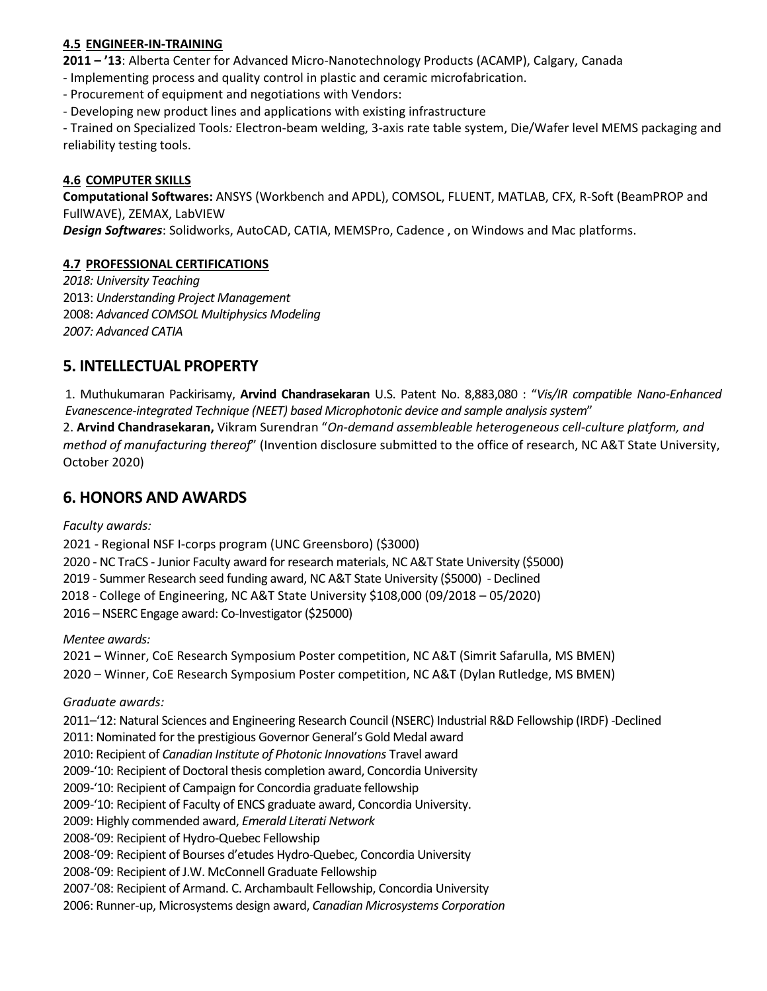#### **4.5 ENGINEER-IN-TRAINING**

**2011 – '13**: Alberta Center for Advanced Micro-Nanotechnology Products (ACAMP), Calgary, Canada

- Implementing process and quality control in plastic and ceramic microfabrication.

- Procurement of equipment and negotiations with Vendors:

- Developing new product lines and applications with existing infrastructure

- Trained on Specialized Tools*:* Electron-beam welding, 3-axis rate table system, Die/Wafer level MEMS packaging and reliability testing tools.

#### **4.6 COMPUTER SKILLS**

**Computational Softwares:** ANSYS (Workbench and APDL), COMSOL, FLUENT, MATLAB, CFX, R-Soft (BeamPROP and FullWAVE), ZEMAX, LabVIEW

*Design Softwares*: Solidworks, AutoCAD, CATIA, MEMSPro, Cadence , on Windows and Mac platforms.

#### **4.7 PROFESSIONAL CERTIFICATIONS**

*2018: University Teaching* 2013: *Understanding Project Management* 2008: *Advanced COMSOL Multiphysics Modeling 2007: Advanced CATIA* 

# **5. INTELLECTUAL PROPERTY**

1. Muthukumaran Packirisamy, **Arvind Chandrasekaran** U.S. Patent No. 8,883,080 : "*Vis/IR compatible Nano-Enhanced Evanescence-integrated Technique (NEET) based Microphotonic device and sample analysis system*"

2. **Arvind Chandrasekaran,** Vikram Surendran "*On-demand assembleable heterogeneous cell-culture platform, and method of manufacturing thereof*" (Invention disclosure submitted to the office of research, NC A&T State University, October 2020)

# **6. HONORS AND AWARDS**

*Faculty awards:*

2021 - Regional NSF I-corps program (UNC Greensboro) (\$3000)

2020 - NC TraCS - Junior Faculty award for research materials, NC A&T State University (\$5000)

2019 - Summer Research seed funding award, NC A&T State University (\$5000) - Declined

2018 - College of Engineering, NC A&T State University \$108,000 (09/2018 – 05/2020)

2016 – NSERC Engage award: Co-Investigator (\$25000)

*Mentee awards:* 

2021 – Winner, CoE Research Symposium Poster competition, NC A&T (Simrit Safarulla, MS BMEN)

2020 – Winner, CoE Research Symposium Poster competition, NC A&T (Dylan Rutledge, MS BMEN)

*Graduate awards:*

2011–'12: Natural Sciences and Engineering Research Council (NSERC) Industrial R&D Fellowship (IRDF) -Declined

2011: Nominated for the prestigious Governor General's Gold Medal award

2010: Recipient of *Canadian Institute of Photonic Innovations* Travel award

2009-'10: Recipient of Doctoral thesis completion award, Concordia University

2009-'10: Recipient of Campaign for Concordia graduate fellowship

2009-'10: Recipient of Faculty of ENCS graduate award, Concordia University.

2009: Highly commended award, *Emerald Literati Network*

2008-'09: Recipient of Hydro-Quebec Fellowship

2008-'09: Recipient of Bourses d'etudes Hydro-Quebec, Concordia University

2008-'09: Recipient of J.W. McConnell Graduate Fellowship

2007-'08: Recipient of Armand. C. Archambault Fellowship, Concordia University

2006: Runner-up, Microsystems design award, *Canadian Microsystems Corporation*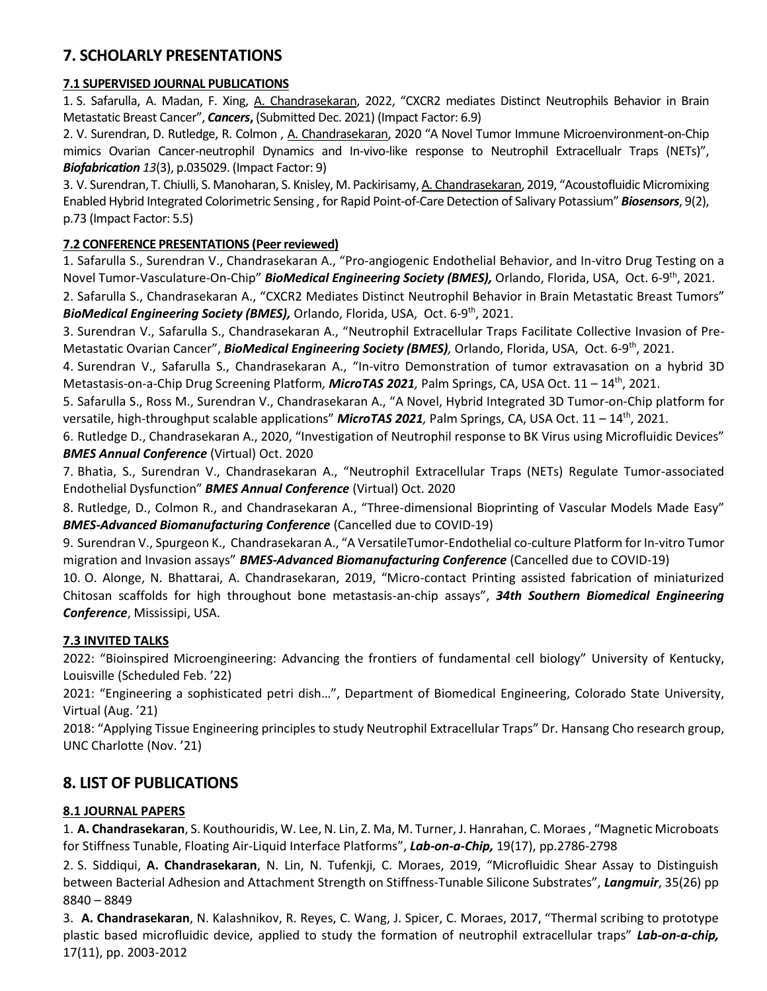# **7. SCHOLARLY PRESENTATIONS**

### **7.1 SUPERVISED JOURNAL PUBLICATIONS**

1. S. Safarulla, A. Madan, F. Xing, A. Chandrasekaran, 2022, "CXCR2 mediates Distinct Neutrophils Behavior in Brain Metastatic Breast Cancer", *Cancers***,** (Submitted Dec. 2021) (Impact Factor: 6.9)

2. V. Surendran, D. Rutledge, R. Colmon , A. Chandrasekaran, 2020 "A Novel Tumor Immune Microenvironment-on-Chip mimics Ovarian Cancer-neutrophil Dynamics and In-vivo-like response to Neutrophil Extracellualr Traps (NETs)", *Biofabrication 13*(3), p.035029. (Impact Factor: 9)

3. V. Surendran, T. Chiulli, S. Manoharan, S. Knisley, M. Packirisamy, A. Chandrasekaran, 2019, "Acoustofluidic Micromixing Enabled Hybrid Integrated Colorimetric Sensing , for Rapid Point-of-Care Detection of Salivary Potassium" *Biosensors*, 9(2), p.73 (Impact Factor: 5.5)

### **7.2 CONFERENCE PRESENTATIONS (Peer reviewed)**

1. Safarulla S., Surendran V., Chandrasekaran A., "Pro-angiogenic Endothelial Behavior, and In-vitro Drug Testing on a Novel Tumor-Vasculature-On-Chip" **BioMedical Engineering Society (BMES),** Orlando, Florida, USA, Oct. 6-9<sup>th</sup>, 2021.

2. Safarulla S., Chandrasekaran A., "CXCR2 Mediates Distinct Neutrophil Behavior in Brain Metastatic Breast Tumors" BioMedical Engineering Society (BMES), Orlando, Florida, USA, Oct. 6-9<sup>th</sup>, 2021.

3. Surendran V., Safarulla S., Chandrasekaran A., "Neutrophil Extracellular Traps Facilitate Collective Invasion of Pre-Metastatic Ovarian Cancer", **BioMedical Engineering Society (BMES)**, Orlando, Florida, USA, Oct. 6-9<sup>th</sup>, 2021.

4. Surendran V., Safarulla S., Chandrasekaran A., "In-vitro Demonstration of tumor extravasation on a hybrid 3D Metastasis-on-a-Chip Drug Screening Platform*, MicroTAS 2021,* Palm Springs, CA, USA Oct. 11 – 14th , 2021.

5. Safarulla S., Ross M., Surendran V., Chandrasekaran A., "A Novel, Hybrid Integrated 3D Tumor-on-Chip platform for versatile, high-throughput scalable applications" **MicroTAS 2021**, Palm Springs, CA, USA Oct. 11 – 14<sup>th</sup>, 2021.

6. Rutledge D., Chandrasekaran A., 2020, "Investigation of Neutrophil response to BK Virus using Microfluidic Devices" *BMES Annual Conference* (Virtual) Oct. 2020

7. Bhatia, S., Surendran V., Chandrasekaran A., "Neutrophil Extracellular Traps (NETs) Regulate Tumor-associated Endothelial Dysfunction" *BMES Annual Conference* (Virtual) Oct. 2020

8. Rutledge, D., Colmon R., and Chandrasekaran A., "Three-dimensional Bioprinting of Vascular Models Made Easy" *BMES-Advanced Biomanufacturing Conference* (Cancelled due to COVID-19)

9. Surendran V., Spurgeon K., Chandrasekaran A., "A VersatileTumor-Endothelial co-culture Platform for In-vitro Tumor migration and Invasion assays" *BMES-Advanced Biomanufacturing Conference* (Cancelled due to COVID-19)

10. O. Alonge, N. Bhattarai, A. Chandrasekaran, 2019, "Micro-contact Printing assisted fabrication of miniaturized Chitosan scaffolds for high throughout bone metastasis-an-chip assays", *34th Southern Biomedical Engineering Conference*, Mississipi, USA.

# **7.3 INVITED TALKS**

2022: "Bioinspired Microengineering: Advancing the frontiers of fundamental cell biology" University of Kentucky, Louisville (Scheduled Feb. '22)

2021: "Engineering a sophisticated petri dish…", Department of Biomedical Engineering, Colorado State University, Virtual (Aug. '21)

2018: "Applying Tissue Engineering principles to study Neutrophil Extracellular Traps" Dr. Hansang Cho research group, UNC Charlotte (Nov. '21)

# **8. LIST OF PUBLICATIONS**

# **8.1 JOURNAL PAPERS**

1. **A. Chandrasekaran**, S. Kouthouridis, W. Lee, N. Lin, Z. Ma, M. Turner, J. Hanrahan, C. Moraes , "Magnetic Microboats for Stiffness Tunable, Floating Air-Liquid Interface Platforms", *Lab-on-a-Chip,* 19(17), pp.2786-2798

2. S. Siddiqui, **A. Chandrasekaran**, N. Lin, N. Tufenkji, C. Moraes, 2019, "Microfluidic Shear Assay to Distinguish between Bacterial Adhesion and Attachment Strength on Stiffness-Tunable Silicone Substrates", *Langmuir*, 35(26) pp 8840 – 8849

3. **A. Chandrasekaran**, N. Kalashnikov, R. Reyes, C. Wang, J. Spicer, C. Moraes, 2017, "Thermal scribing to prototype plastic based microfluidic device, applied to study the formation of neutrophil extracellular traps" *Lab-on-a-chip,*  17(11), pp. 2003-2012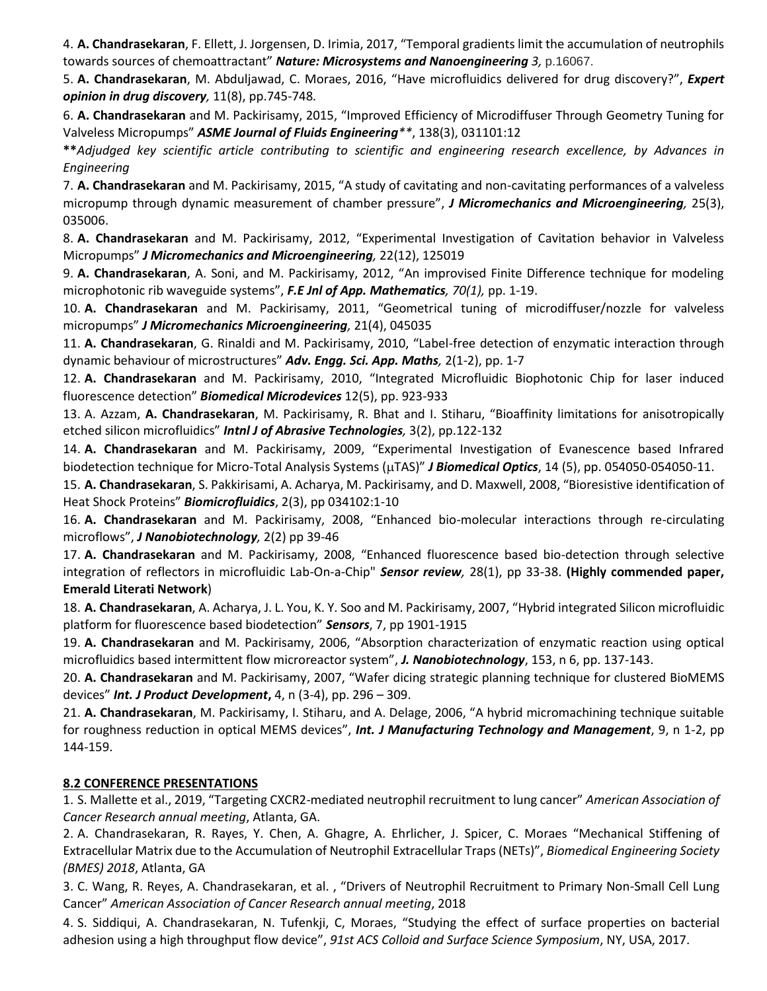4. **A. Chandrasekaran**, F. Ellett, J. Jorgensen, D. Irimia, 2017, "Temporal gradients limit the accumulation of neutrophils towards sources of chemoattractant" *Nature: Microsystems and Nanoengineering 3,* p.16067.

5. **A. Chandrasekaran**, M. Abduljawad, C. Moraes, 2016, "Have microfluidics delivered for drug discovery?", *Expert opinion in drug discovery,* 11(8), pp.745-748*.* 

6. **A. Chandrasekaran** and M. Packirisamy, 2015, "Improved Efficiency of Microdiffuser Through Geometry Tuning for Valveless Micropumps" *ASME Journal of Fluids Engineering\*\**, 138(3), 031101:12

**\*\****Adjudged key scientific article contributing to scientific and engineering research excellence, by Advances in Engineering*

7. **A. Chandrasekaran** and M. Packirisamy, 2015, "A study of cavitating and non-cavitating performances of a valveless micropump through dynamic measurement of chamber pressure", *J Micromechanics and Microengineering,* 25(3), 035006.

8. **A. Chandrasekaran** and M. Packirisamy, 2012, "Experimental Investigation of Cavitation behavior in Valveless Micropumps" *J Micromechanics and Microengineering,* 22(12), 125019

9. **A. Chandrasekaran**, A. Soni, and M. Packirisamy, 2012, "An improvised Finite Difference technique for modeling microphotonic rib waveguide systems", *F.E Jnl of App. Mathematics, 70(1),* pp. 1-19.

10. **A. Chandrasekaran** and M. Packirisamy, 2011, "Geometrical tuning of microdiffuser/nozzle for valveless micropumps" *J Micromechanics Microengineering,* 21(4), 045035

11. **A. Chandrasekaran**, G. Rinaldi and M. Packirisamy, 2010, "Label-free detection of enzymatic interaction through dynamic behaviour of microstructures" *Adv. Engg. Sci. App. Maths,* 2(1-2), pp. 1-7

12. **A. Chandrasekaran** and M. Packirisamy, 2010, "Integrated Microfluidic Biophotonic Chip for laser induced fluorescence detection" *Biomedical Microdevices* 12(5), pp. 923-933

13. A. Azzam, **A. Chandrasekaran**, M. Packirisamy, R. Bhat and I. Stiharu, "Bioaffinity limitations for anisotropically etched silicon microfluidics" *Intnl J of Abrasive Technologies,* 3(2), pp.122-132

14. **A. Chandrasekaran** and M. Packirisamy, 2009, "Experimental Investigation of Evanescence based Infrared biodetection technique for Micro-Total Analysis Systems (µTAS)" *J Biomedical Optics*, 14 (5), pp. 054050-054050-11.

15. **A. Chandrasekaran**, S. Pakkirisami, A. Acharya, M. Packirisamy, and D. Maxwell, 2008, "Bioresistive identification of Heat Shock Proteins" *Biomicrofluidics*, 2(3), pp 034102:1-10

16. **A. Chandrasekaran** and M. Packirisamy, 2008, "Enhanced bio-molecular interactions through re-circulating microflows", *J Nanobiotechnology,* 2(2) pp 39-46

17. **A. Chandrasekaran** and M. Packirisamy, 2008, "Enhanced fluorescence based bio-detection through selective integration of reflectors in microfluidic Lab-On-a-Chip" *Sensor review,* 28(1), pp 33-38. **(Highly commended paper, Emerald Literati Network**)

18. **A. Chandrasekaran**, A. Acharya, J. L. You, K. Y. Soo and M. Packirisamy, 2007, "Hybrid integrated Silicon microfluidic platform for fluorescence based biodetection" *Sensors*, 7, pp 1901-1915

19. **A. Chandrasekaran** and M. Packirisamy, 2006, "Absorption characterization of enzymatic reaction using optical microfluidics based intermittent flow microreactor system", *J. Nanobiotechnology*, 153, n 6, pp. 137-143.

20. **A. Chandrasekaran** and M. Packirisamy, 2007, "Wafer dicing strategic planning technique for clustered BioMEMS devices" *Int. J Product Development***,** 4, n (3-4), pp. 296 – 309.

21. **A. Chandrasekaran**, M. Packirisamy, I. Stiharu, and A. Delage, 2006, "A hybrid micromachining technique suitable for roughness reduction in optical MEMS devices", *Int. J Manufacturing Technology and Management*, 9, n 1-2, pp 144-159.

#### **8.2 CONFERENCE PRESENTATIONS**

1. S. Mallette et al., 2019, "Targeting CXCR2-mediated neutrophil recruitment to lung cancer" *American Association of Cancer Research annual meeting*, Atlanta, GA.

2. A. Chandrasekaran, R. Rayes, Y. Chen, A. Ghagre, A. Ehrlicher, J. Spicer, C. Moraes "Mechanical Stiffening of Extracellular Matrix due to the Accumulation of Neutrophil Extracellular Traps (NETs)", *Biomedical Engineering Society (BMES) 2018*, Atlanta, GA

3. C. Wang, R. Reyes, A. Chandrasekaran, et al. , "Drivers of Neutrophil Recruitment to Primary Non-Small Cell Lung Cancer" *American Association of Cancer Research annual meeting*, 2018

4. S. Siddiqui, A. Chandrasekaran, N. Tufenkji, C, Moraes, "Studying the effect of surface properties on bacterial adhesion using a high throughput flow device", *91st ACS Colloid and Surface Science Symposium*, NY, USA, 2017.